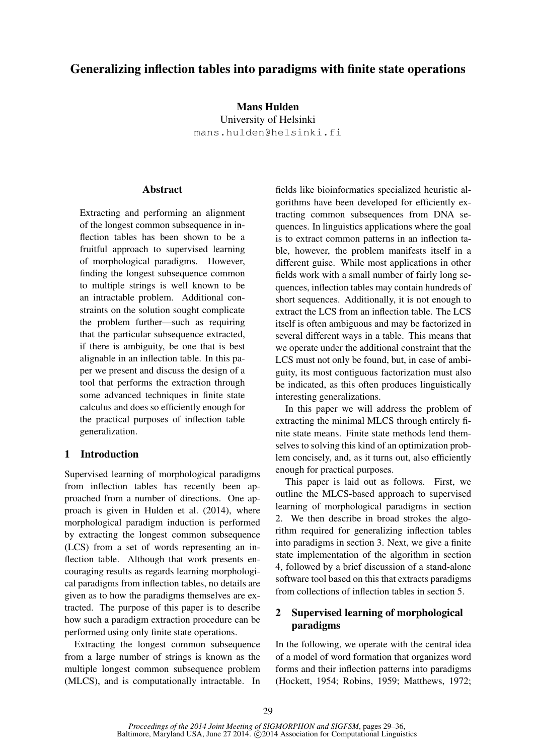# Generalizing inflection tables into paradigms with finite state operations

Mans Hulden University of Helsinki mans.hulden@helsinki.fi

# **Abstract**

Extracting and performing an alignment of the longest common subsequence in inflection tables has been shown to be a fruitful approach to supervised learning of morphological paradigms. However, finding the longest subsequence common to multiple strings is well known to be an intractable problem. Additional constraints on the solution sought complicate the problem further—such as requiring that the particular subsequence extracted, if there is ambiguity, be one that is best alignable in an inflection table. In this paper we present and discuss the design of a tool that performs the extraction through some advanced techniques in finite state calculus and does so efficiently enough for the practical purposes of inflection table generalization.

# 1 Introduction

Supervised learning of morphological paradigms from inflection tables has recently been approached from a number of directions. One approach is given in Hulden et al. (2014), where morphological paradigm induction is performed by extracting the longest common subsequence (LCS) from a set of words representing an inflection table. Although that work presents encouraging results as regards learning morphological paradigms from inflection tables, no details are given as to how the paradigms themselves are extracted. The purpose of this paper is to describe how such a paradigm extraction procedure can be performed using only finite state operations.

Extracting the longest common subsequence from a large number of strings is known as the multiple longest common subsequence problem (MLCS), and is computationally intractable. In

fields like bioinformatics specialized heuristic algorithms have been developed for efficiently extracting common subsequences from DNA sequences. In linguistics applications where the goal is to extract common patterns in an inflection table, however, the problem manifests itself in a different guise. While most applications in other fields work with a small number of fairly long sequences, inflection tables may contain hundreds of short sequences. Additionally, it is not enough to extract the LCS from an inflection table. The LCS itself is often ambiguous and may be factorized in several different ways in a table. This means that we operate under the additional constraint that the LCS must not only be found, but, in case of ambiguity, its most contiguous factorization must also be indicated, as this often produces linguistically interesting generalizations.

In this paper we will address the problem of extracting the minimal MLCS through entirely finite state means. Finite state methods lend themselves to solving this kind of an optimization problem concisely, and, as it turns out, also efficiently enough for practical purposes.

This paper is laid out as follows. First, we outline the MLCS-based approach to supervised learning of morphological paradigms in section 2. We then describe in broad strokes the algorithm required for generalizing inflection tables into paradigms in section 3. Next, we give a finite state implementation of the algorithm in section 4, followed by a brief discussion of a stand-alone software tool based on this that extracts paradigms from collections of inflection tables in section 5.

# 2 Supervised learning of morphological paradigms

In the following, we operate with the central idea of a model of word formation that organizes word forms and their inflection patterns into paradigms (Hockett, 1954; Robins, 1959; Matthews, 1972;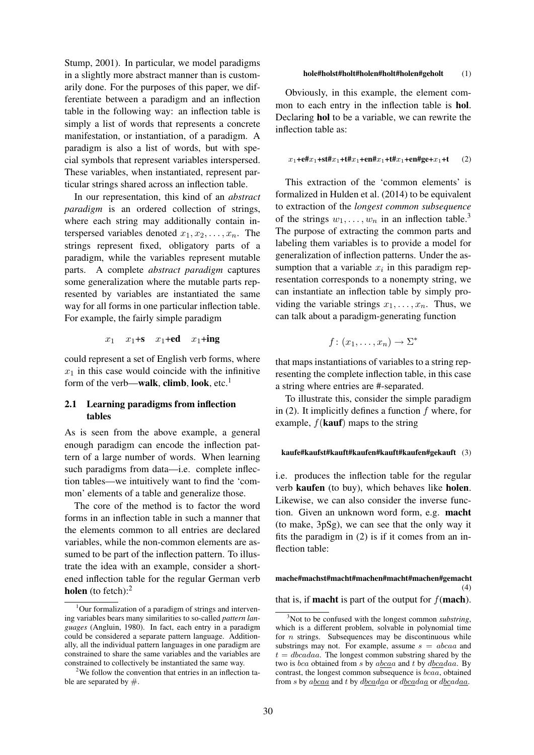Stump, 2001). In particular, we model paradigms in a slightly more abstract manner than is customarily done. For the purposes of this paper, we differentiate between a paradigm and an inflection table in the following way: an inflection table is simply a list of words that represents a concrete manifestation, or instantiation, of a paradigm. A paradigm is also a list of words, but with special symbols that represent variables interspersed. These variables, when instantiated, represent particular strings shared across an inflection table.

In our representation, this kind of an *abstract paradigm* is an ordered collection of strings, where each string may additionally contain interspersed variables denoted  $x_1, x_2, \ldots, x_n$ . The strings represent fixed, obligatory parts of a paradigm, while the variables represent mutable parts. A complete *abstract paradigm* captures some generalization where the mutable parts represented by variables are instantiated the same way for all forms in one particular inflection table. For example, the fairly simple paradigm

 $x_1$   $x_1$ +s  $x_1$ +ed  $x_1$ +ing

could represent a set of English verb forms, where  $x_1$  in this case would coincide with the infinitive form of the verb—walk, climb, look, etc.<sup>1</sup>

## 2.1 Learning paradigms from inflection tables

As is seen from the above example, a general enough paradigm can encode the inflection pattern of a large number of words. When learning such paradigms from data—i.e. complete inflection tables—we intuitively want to find the 'common' elements of a table and generalize those.

The core of the method is to factor the word forms in an inflection table in such a manner that the elements common to all entries are declared variables, while the non-common elements are assumed to be part of the inflection pattern. To illustrate the idea with an example, consider a shortened inflection table for the regular German verb holen (to fetch): $<sup>2</sup>$ </sup>

#### hole#holst#holt#holen#holt#holen#geholt (1)

Obviously, in this example, the element common to each entry in the inflection table is hol. Declaring hol to be a variable, we can rewrite the inflection table as:

#### $x_1 + e#x_1 + st#x_1 + t#x_1 + en#x_1 + t#x_1 + en#ge + x_1 + t$  (2)

This extraction of the 'common elements' is formalized in Hulden et al. (2014) to be equivalent to extraction of the *longest common subsequence* of the strings  $w_1, \ldots, w_n$  in an inflection table.<sup>3</sup> The purpose of extracting the common parts and labeling them variables is to provide a model for generalization of inflection patterns. Under the assumption that a variable  $x_i$  in this paradigm representation corresponds to a nonempty string, we can instantiate an inflection table by simply providing the variable strings  $x_1, \ldots, x_n$ . Thus, we can talk about a paradigm-generating function

 $f: (x_1, \ldots, x_n) \to \Sigma^*$ 

that maps instantiations of variables to a string representing the complete inflection table, in this case a string where entries are #-separated.

To illustrate this, consider the simple paradigm in (2). It implicitly defines a function  $f$  where, for example,  $f$ (kauf) maps to the string

#### kaufe#kaufst#kauft#kaufen#kauft#kaufen#gekauft (3)

i.e. produces the inflection table for the regular verb kaufen (to buy), which behaves like holen. Likewise, we can also consider the inverse function. Given an unknown word form, e.g. macht (to make, 3pSg), we can see that the only way it fits the paradigm in (2) is if it comes from an inflection table:

## mache#machst#macht#machen#macht#machen#gemacht  $(4)$

that is, if **macht** is part of the output for  $f$  (**mach**).

 $1$ Our formalization of a paradigm of strings and intervening variables bears many similarities to so-called *pattern languages* (Angluin, 1980). In fact, each entry in a paradigm could be considered a separate pattern language. Additionally, all the individual pattern languages in one paradigm are constrained to share the same variables and the variables are constrained to collectively be instantiated the same way.

 $2$ We follow the convention that entries in an inflection table are separated by  $#$ .

<sup>3</sup>Not to be confused with the longest common *substring*, which is a different problem, solvable in polynomial time for  $n$  strings. Subsequences may be discontinuous while substrings may not. For example, assume  $s = abcaa$  and  $t = dbcadaa$ . The longest common substring shared by the two is bca obtained from s by abcaa and t by dbcadaa. By contrast, the longest common subsequence is bcaa, obtained from s by abcaa and t by dbcadaa or dbcadaa or dbcadaa.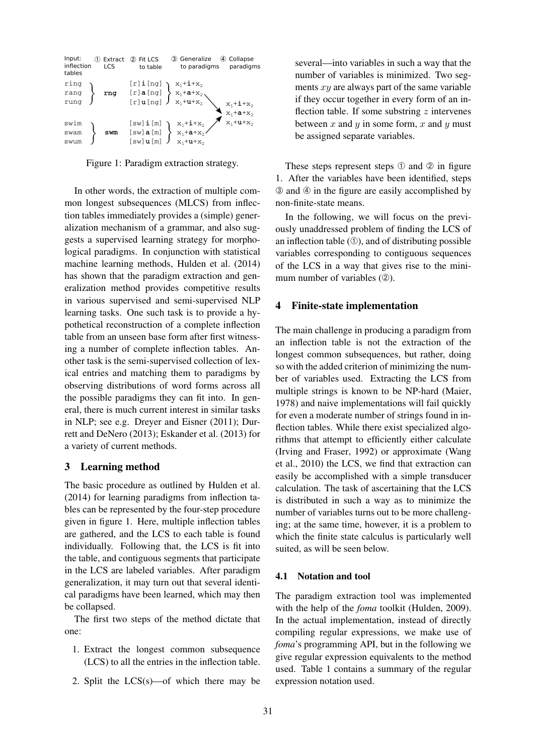| Input:<br>inflection<br>tables | (1) | Extract<br>LCS | Fit LCS<br>$\circled{2}$<br>to table                 | ③ Generalize<br>to paradigms                                                                                                                                                                                                                                                                                                   | Collapse<br>(4)<br>paradigms                                                                                                                                     |
|--------------------------------|-----|----------------|------------------------------------------------------|--------------------------------------------------------------------------------------------------------------------------------------------------------------------------------------------------------------------------------------------------------------------------------------------------------------------------------|------------------------------------------------------------------------------------------------------------------------------------------------------------------|
| ring<br>rang<br>rung           |     | rng            |                                                      | $\begin{array}{l} \left[ r \right] {\bf i} \left[ ng \right] \\ \left[ r \right] {\bf a} \left[ ng \right] \\ \left[ r \right] {\bf u} \left[ ng \right] \\ \left[ r \right] {\bf u} \left[ ng \right] \end{array} \begin{array}{l} x_1 {+} {\bf i} {+} x_2 \\ x_1 {+} {\bf a} {+} x_2 \\ x_1 {+} {\bf u} {+} x_2 \end{array}$ |                                                                                                                                                                  |
| swim<br>swam<br>swum           |     | swm            | $[sw]$ $i$ $[m]$<br>$[sw]$ a $[m]$<br>$[sw]$ u $[m]$ | $\begin{aligned} \mathbf{x}_1 + \mathbf{i} + \mathbf{x}_2 \\ \mathbf{x}_1 + \mathbf{a} + \mathbf{x}_2 \end{aligned}$<br>$X_1$ +u+ $X_2$                                                                                                                                                                                        | $\begin{aligned} \mathbf{x}_1 + \mathbf{i} + \mathbf{x}_2 \\ \mathbf{x}_1 + \mathbf{a} + \mathbf{x}_2 \\ \mathbf{x}_1 + \mathbf{u} + \mathbf{x}_2 \end{aligned}$ |

Figure 1: Paradigm extraction strategy.

In other words, the extraction of multiple common longest subsequences (MLCS) from inflection tables immediately provides a (simple) generalization mechanism of a grammar, and also suggests a supervised learning strategy for morphological paradigms. In conjunction with statistical machine learning methods, Hulden et al. (2014) has shown that the paradigm extraction and generalization method provides competitive results in various supervised and semi-supervised NLP learning tasks. One such task is to provide a hypothetical reconstruction of a complete inflection table from an unseen base form after first witnessing a number of complete inflection tables. Another task is the semi-supervised collection of lexical entries and matching them to paradigms by observing distributions of word forms across all the possible paradigms they can fit into. In general, there is much current interest in similar tasks in NLP; see e.g. Dreyer and Eisner (2011); Durrett and DeNero (2013); Eskander et al. (2013) for a variety of current methods.

#### 3 Learning method

The basic procedure as outlined by Hulden et al. (2014) for learning paradigms from inflection tables can be represented by the four-step procedure given in figure 1. Here, multiple inflection tables are gathered, and the LCS to each table is found individually. Following that, the LCS is fit into the table, and contiguous segments that participate in the LCS are labeled variables. After paradigm generalization, it may turn out that several identical paradigms have been learned, which may then be collapsed.

The first two steps of the method dictate that one:

- 1. Extract the longest common subsequence (LCS) to all the entries in the inflection table.
- 2. Split the LCS(s)—of which there may be

several—into variables in such a way that the number of variables is minimized. Two segments  $xy$  are always part of the same variable if they occur together in every form of an inflection table. If some substring  $z$  intervenes between x and  $y$  in some form, x and  $y$  must be assigned separate variables.

These steps represent steps  $\odot$  and  $\odot$  in figure 1. After the variables have been identified, steps ➂ and ➃ in the figure are easily accomplished by non-finite-state means.

In the following, we will focus on the previously unaddressed problem of finding the LCS of an inflection table  $(①)$ , and of distributing possible variables corresponding to contiguous sequences of the LCS in a way that gives rise to the minimum number of variables (2).

### 4 Finite-state implementation

The main challenge in producing a paradigm from an inflection table is not the extraction of the longest common subsequences, but rather, doing so with the added criterion of minimizing the number of variables used. Extracting the LCS from multiple strings is known to be NP-hard (Maier, 1978) and naive implementations will fail quickly for even a moderate number of strings found in inflection tables. While there exist specialized algorithms that attempt to efficiently either calculate (Irving and Fraser, 1992) or approximate (Wang et al., 2010) the LCS, we find that extraction can easily be accomplished with a simple transducer calculation. The task of ascertaining that the LCS is distributed in such a way as to minimize the number of variables turns out to be more challenging; at the same time, however, it is a problem to which the finite state calculus is particularly well suited, as will be seen below.

### 4.1 Notation and tool

The paradigm extraction tool was implemented with the help of the *foma* toolkit (Hulden, 2009). In the actual implementation, instead of directly compiling regular expressions, we make use of *foma*'s programming API, but in the following we give regular expression equivalents to the method used. Table 1 contains a summary of the regular expression notation used.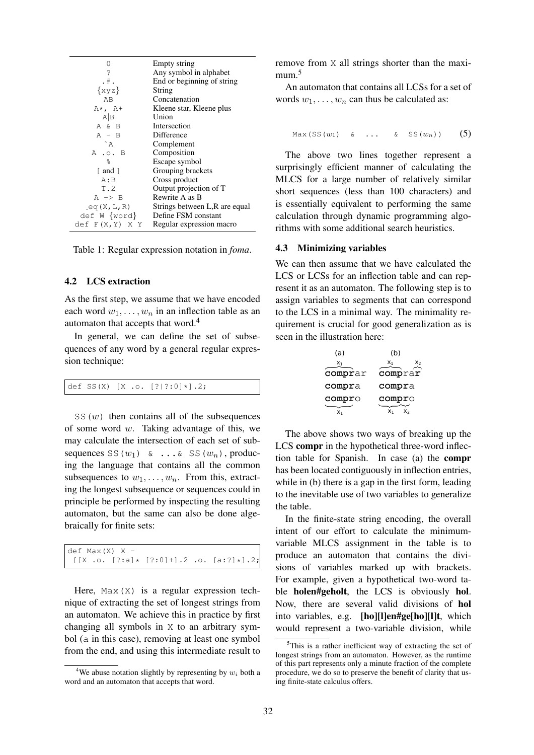| 0                 | Empty string                   |
|-------------------|--------------------------------|
| ?                 | Any symbol in alphabet         |
| $.$ # $.$         | End or beginning of string     |
| $\{xyz\}$         | String                         |
| AB                | Concatenation                  |
| $A\star$ , $A+$   | Kleene star, Kleene plus       |
| A B               | Union                          |
| A & B             | Intersection                   |
| $A - B$           | Difference                     |
| $~\tilde{}$ A     | Complement                     |
| A .o. B           | Composition                    |
| $\approx$         | Escape symbol                  |
| [ and ]           | Grouping brackets              |
| A:B               | Cross product                  |
| T.2               | Output projection of T         |
| $A \rightarrow B$ | Rewrite A as B                 |
| eq(X, L, R)       | Strings between L, R are equal |
| def W {word}      | Define FSM constant            |
| def F(X,Y) X Y    | Regular expression macro       |

Table 1: Regular expression notation in *foma*.

### 4.2 LCS extraction

As the first step, we assume that we have encoded each word  $w_1, \ldots, w_n$  in an inflection table as an automaton that accepts that word.<sup>4</sup>

In general, we can define the set of subsequences of any word by a general regular expression technique:

|  |  | $\det SS(X) [X.o. [? ?:0]*].2;$ |  |
|--|--|---------------------------------|--|
|--|--|---------------------------------|--|

 $SS(w)$  then contains all of the subsequences of some word  $w$ . Taking advantage of this, we may calculate the intersection of each set of subsequences SS( $w_1$ ) & ...& SS( $w_n$ ), producing the language that contains all the common subsequences to  $w_1, \ldots, w_n$ . From this, extracting the longest subsequence or sequences could in principle be performed by inspecting the resulting automaton, but the same can also be done algebraically for finite sets:

def  $Max(X)$  X - $[[X \ . \ . \ . \ [? : a] \times [? : 0] +].2 \ . \ . \ . \ [a : ?] \times].2;$ 

Here,  $Max(X)$  is a regular expression technique of extracting the set of longest strings from an automaton. We achieve this in practice by first changing all symbols in X to an arbitrary symbol (a in this case), removing at least one symbol from the end, and using this intermediate result to remove from X all strings shorter than the maximum.<sup>5</sup>

An automaton that contains all LCSs for a set of words  $w_1, \ldots, w_n$  can thus be calculated as:

$$
\text{Max}(\text{SS}(w_1) \quad \& \quad \ldots \quad \& \quad \text{SS}(w_n)) \qquad (5)
$$

The above two lines together represent a surprisingly efficient manner of calculating the MLCS for a large number of relatively similar short sequences (less than 100 characters) and is essentially equivalent to performing the same calculation through dynamic programming algorithms with some additional search heuristics.

#### 4.3 Minimizing variables

We can then assume that we have calculated the LCS or LCSs for an inflection table and can represent it as an automaton. The following step is to assign variables to segments that can correspond to the LCS in a minimal way. The minimality requirement is crucial for good generalization as is seen in the illustration here:

| (a)     | (b)         |
|---------|-------------|
| x,      | $X_1$<br>X2 |
| comprar | comprar     |
| compra  | compra      |
| compro  | compro      |
|         | x٠          |

The above shows two ways of breaking up the LCS compr in the hypothetical three-word inflection table for Spanish. In case (a) the compr has been located contiguously in inflection entries, while in (b) there is a gap in the first form, leading to the inevitable use of two variables to generalize the table.

In the finite-state string encoding, the overall intent of our effort to calculate the minimumvariable MLCS assignment in the table is to produce an automaton that contains the divisions of variables marked up with brackets. For example, given a hypothetical two-word table **holen#geholt**, the LCS is obviously **hol**. Now, there are several valid divisions of hol into variables, e.g. [ho][l]en#ge[ho][l]t, which would represent a two-variable division, while

<sup>&</sup>lt;sup>4</sup>We abuse notation slightly by representing by  $w_i$  both a word and an automaton that accepts that word.

 $5$ This is a rather inefficient way of extracting the set of longest strings from an automaton. However, as the runtime of this part represents only a minute fraction of the complete procedure, we do so to preserve the benefit of clarity that using finite-state calculus offers.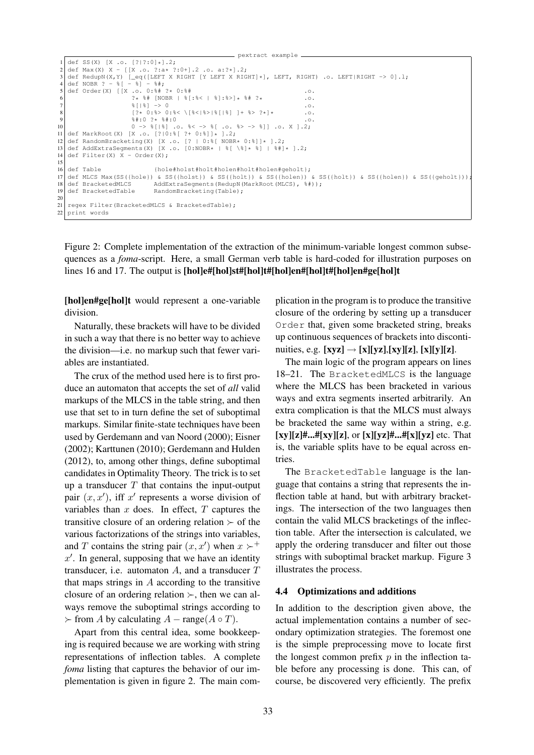```
pextract example
 1 def SS(X) [X .o. [?|?:0]*] .2;<br>2 def May(X) X = [IX \cap 2.31] .2;2 def Max(X) X - [[X .o. ?:a* ?:0+].2 .o. a:?*].2;<br>3 def BedupN(X Y) [ eq([LEET X RIGHT IV LEET X RIG
 3 def RedupN(X,Y) [_eq([LEFT X RIGHT [Y LEFT X RIGHT]*], LEFT, RIGHT) .o. LEFT|RIGHT -> 0].l;<br>4 def NOBR ? - \S[ - \S] - \S#:
 4 \text{ def NOBR} ? - % [ - %] - %#;<br>5 def Order (X) [[X, o, 0:%#
    5 def Order(X) [[X .o. 0:%# ?* 0:%# .o.
                                  2 * $ # [NOBR | $ [: $ < | $]: $ > ] * $ # ? * ...<br>$ [ | $ | -> 0
 7 |8| |8) |0.8 [? \star 0: \$ > 0: \$ < \{8 &lt; | \{8 \mid \$ | \$ | \$ \} + \$ > ? \star \} \star .o.<br>9 \uparrow9 \begin{array}{cccc} 9 & & 3\# \cdot 0 & ? \ast \ 10 & & 0 \end{array} . \begin{array}{cccc} 6 \times 1 & 0 \\ 7 \times 1 & 0 \end{array} . \begin{array}{cccc} 6 \times 1 & 0 \\ 1 \times 1 & 0 \end{array} . \begin{array}{cccc} 6 \times 1 & 0 \\ 0 & - \times 1 & 0 \end{array} . \begin{array}{cccc} 6 \times 1 & 0 \\ 1 \times 1 & 0 \end{array} . \begin{array}{cccc} 6 \times 1 & 0 \\ 1 \times 1 & 0 \end{array}11 def MarkRoot(X) [X .o. [?|0:%[ ?+ 0:%]]* ].2;
12 def RandomBracketing(X) [X .o. [? \mid 0.8 \mid 0.00R* \mid 0.8] \rightarrow .2;<br>13 def AddExtraSecments(X) [X .o. [0.00R* \mid 8] \rightarrow .8] \rightarrow .8 + 113 def AddExtraSegments(X) [X .o. [0:NOBR* | \S[ \\S] * \S] | \S#] * ].2;<br>14 def Filter(X) X - Order(X):
    def Filter(X) X - Order(X);
15
16 def Table {hole#holst#holt#holen#holt#holen#geholt};
17 def MLCS Max(SS({hole}) & SS({holst}) & SS({holt}) & SS({holen}) & SS({holt}) & SS({holen}) & SS({geholt}))<br>18 def BracketedMLCS AddExtraSegments(RedupN(MarkRoot(MLCS), \frac{1}{6}#));
18 def BracketedMLCS AddExtraSegments(RedupN(MarkRoot(MLCS), \frac{1}{2});<br>19 def BracketedTable RandomBracketing(Table);
                                           RandomBracketing(Table);
20
21 regex Filter(BracketedMLCS & BracketedTable);
22 print words
```
Figure 2: Complete implementation of the extraction of the minimum-variable longest common subsequences as a *foma*-script. Here, a small German verb table is hard-coded for illustration purposes on lines 16 and 17. The output is [hol]e#[hol]st#[hol]t#[hol]en#[hol]t#[hol]en#ge[hol]t

[hol]en#ge[hol]t would represent a one-variable division.

Naturally, these brackets will have to be divided in such a way that there is no better way to achieve the division—i.e. no markup such that fewer variables are instantiated.

The crux of the method used here is to first produce an automaton that accepts the set of *all* valid markups of the MLCS in the table string, and then use that set to in turn define the set of suboptimal markups. Similar finite-state techniques have been used by Gerdemann and van Noord (2000); Eisner (2002); Karttunen (2010); Gerdemann and Hulden (2012), to, among other things, define suboptimal candidates in Optimality Theory. The trick is to set up a transducer  $T$  that contains the input-output pair  $(x, x')$ , iff x' represents a worse division of variables than  $x$  does. In effect,  $T$  captures the transitive closure of an ordering relation  $\succ$  of the various factorizations of the strings into variables, and T contains the string pair  $(x, x')$  when  $x \succ^+$  $x'$ . In general, supposing that we have an identity transducer, i.e. automaton  $A$ , and a transducer  $T$ that maps strings in  $A$  according to the transitive closure of an ordering relation  $\succ$ , then we can always remove the suboptimal strings according to  $\succ$  from A by calculating  $A$  – range( $A \circ T$ ).

Apart from this central idea, some bookkeeping is required because we are working with string representations of inflection tables. A complete *foma* listing that captures the behavior of our implementation is given in figure 2. The main complication in the program is to produce the transitive closure of the ordering by setting up a transducer Order that, given some bracketed string, breaks up continuous sequences of brackets into discontinuities, e.g.  $[xyz] \rightarrow [x][yz],[xy][z], [x][y][z]$ .

The main logic of the program appears on lines 18–21. The BracketedMLCS is the language where the MLCS has been bracketed in various ways and extra segments inserted arbitrarily. An extra complication is that the MLCS must always be bracketed the same way within a string, e.g.  $[xy][z]\text{#...}$ # $[x][z]$ , or  $[x][yz]\text{#...}$ # $[x][yz]$  etc. That is, the variable splits have to be equal across entries.

The BracketedTable language is the language that contains a string that represents the inflection table at hand, but with arbitrary bracketings. The intersection of the two languages then contain the valid MLCS bracketings of the inflection table. After the intersection is calculated, we apply the ordering transducer and filter out those strings with suboptimal bracket markup. Figure 3 illustrates the process.

### 4.4 Optimizations and additions

In addition to the description given above, the actual implementation contains a number of secondary optimization strategies. The foremost one is the simple preprocessing move to locate first the longest common prefix  $p$  in the inflection table before any processing is done. This can, of course, be discovered very efficiently. The prefix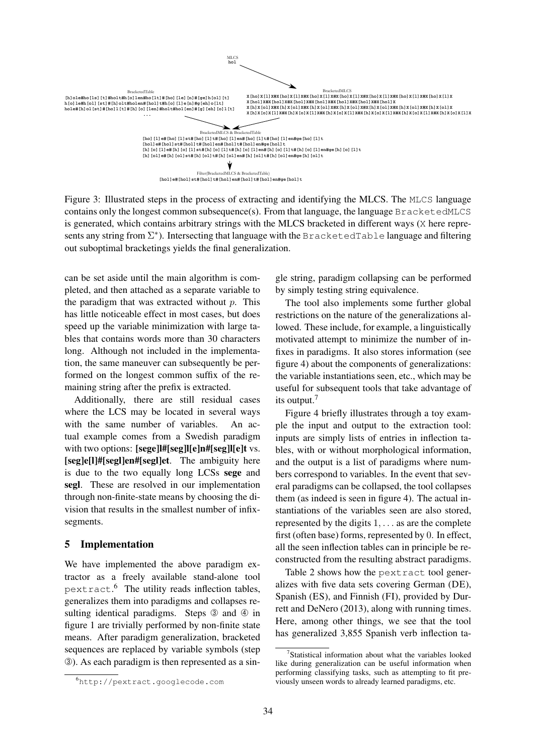

Figure 3: Illustrated steps in the process of extracting and identifying the MLCS. The MLCS language contains only the longest common subsequence(s). From that language, the language  $BracketedMLCS$ is generated, which contains arbitrary strings with the MLCS bracketed in different ways (X here represents any string from  $\Sigma^*$ ). Intersecting that language with the BracketedTable language and filtering out suboptimal bracketings yields the final generalization.

can be set aside until the main algorithm is completed, and then attached as a separate variable to the paradigm that was extracted without  $p$ . This has little noticeable effect in most cases, but does speed up the variable minimization with large tables that contains words more than 30 characters long. Although not included in the implementation, the same maneuver can subsequently be performed on the longest common suffix of the remaining string after the prefix is extracted.

Additionally, there are still residual cases where the LCS may be located in several ways with the same number of variables. An actual example comes from a Swedish paradigm with two options: [sege]l#[seg]l[e]n#[seg]l[e]t vs. [seg]e[l]#[segl]en#[segl]et. The ambiguity here is due to the two equally long LCSs sege and segl. These are resolved in our implementation through non-finite-state means by choosing the division that results in the smallest number of infixsegments.

# 5 Implementation

We have implemented the above paradigm extractor as a freely available stand-alone tool pextract. <sup>6</sup> The utility reads inflection tables, generalizes them into paradigms and collapses resulting identical paradigms. Steps  $\circled{a}$  and  $\circled{a}$  in figure 1 are trivially performed by non-finite state means. After paradigm generalization, bracketed sequences are replaced by variable symbols (step ➂). As each paradigm is then represented as a sin-

gle string, paradigm collapsing can be performed by simply testing string equivalence.

The tool also implements some further global restrictions on the nature of the generalizations allowed. These include, for example, a linguistically motivated attempt to minimize the number of infixes in paradigms. It also stores information (see figure 4) about the components of generalizations: the variable instantiations seen, etc., which may be useful for subsequent tools that take advantage of its output.<sup>7</sup>

Figure 4 briefly illustrates through a toy example the input and output to the extraction tool: inputs are simply lists of entries in inflection tables, with or without morphological information, and the output is a list of paradigms where numbers correspond to variables. In the event that several paradigms can be collapsed, the tool collapses them (as indeed is seen in figure 4). The actual instantiations of the variables seen are also stored, represented by the digits  $1, \ldots$  as are the complete first (often base) forms, represented by 0. In effect, all the seen inflection tables can in principle be reconstructed from the resulting abstract paradigms.

Table 2 shows how the pextract tool generalizes with five data sets covering German (DE), Spanish (ES), and Finnish (FI), provided by Durrett and DeNero (2013), along with running times. Here, among other things, we see that the tool has generalized 3,855 Spanish verb inflection ta-

<sup>6</sup>http://pextract.googlecode.com

<sup>&</sup>lt;sup>7</sup>Statistical information about what the variables looked like during generalization can be useful information when performing classifying tasks, such as attempting to fit previously unseen words to already learned paradigms, etc.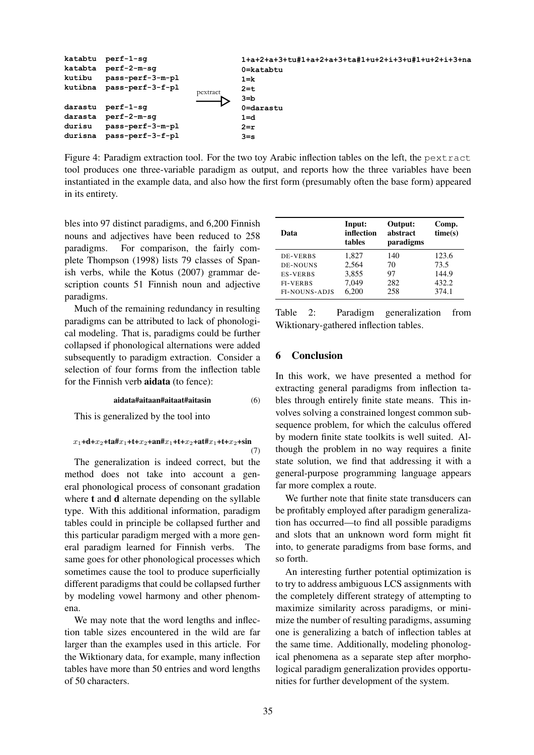

Figure 4: Paradigm extraction tool. For the two toy Arabic inflection tables on the left, the pextract tool produces one three-variable paradigm as output, and reports how the three variables have been instantiated in the example data, and also how the first form (presumably often the base form) appeared in its entirety.

bles into 97 distinct paradigms, and 6,200 Finnish nouns and adjectives have been reduced to 258 paradigms. For comparison, the fairly complete Thompson (1998) lists 79 classes of Spanish verbs, while the Kotus (2007) grammar description counts 51 Finnish noun and adjective paradigms.

Much of the remaining redundancy in resulting paradigms can be attributed to lack of phonological modeling. That is, paradigms could be further collapsed if phonological alternations were added subsequently to paradigm extraction. Consider a selection of four forms from the inflection table for the Finnish verb aidata (to fence):

#### aidata#aitaan#aitaat#aitasin (6)

This is generalized by the tool into

 $x_1+d+x_2+ta\#x_1+t+x_2+an\#x_1+t+x_2+at\#x_1+t+x_2+sin$ 

$$
\mathbf{m} \atop (7)
$$

The generalization is indeed correct, but the method does not take into account a general phonological process of consonant gradation where **t** and **d** alternate depending on the syllable type. With this additional information, paradigm tables could in principle be collapsed further and this particular paradigm merged with a more general paradigm learned for Finnish verbs. The same goes for other phonological processes which sometimes cause the tool to produce superficially different paradigms that could be collapsed further by modeling vowel harmony and other phenomena.

We may note that the word lengths and inflection table sizes encountered in the wild are far larger than the examples used in this article. For the Wiktionary data, for example, many inflection tables have more than 50 entries and word lengths of 50 characters.

| Data                 | Input:<br>inflection<br>tables | Output:<br>abstract<br>paradigms | Comp.<br>time(s) |
|----------------------|--------------------------------|----------------------------------|------------------|
| DE-VERBS             | 1.827                          | 140                              | 123.6            |
| <b>DE-NOUNS</b>      | 2,564                          | 70                               | 73.5             |
| <b>ES-VERBS</b>      | 3,855                          | 97                               | 144.9            |
| <b>FI-VERBS</b>      | 7.049                          | 282                              | 432.2            |
| <b>FI-NOUNS-ADJS</b> | 6.200                          | 258                              | 374.1            |

Table 2: Paradigm generalization from Wiktionary-gathered inflection tables.

### 6 Conclusion

In this work, we have presented a method for extracting general paradigms from inflection tables through entirely finite state means. This involves solving a constrained longest common subsequence problem, for which the calculus offered by modern finite state toolkits is well suited. Although the problem in no way requires a finite state solution, we find that addressing it with a general-purpose programming language appears far more complex a route.

We further note that finite state transducers can be profitably employed after paradigm generalization has occurred—to find all possible paradigms and slots that an unknown word form might fit into, to generate paradigms from base forms, and so forth.

An interesting further potential optimization is to try to address ambiguous LCS assignments with the completely different strategy of attempting to maximize similarity across paradigms, or minimize the number of resulting paradigms, assuming one is generalizing a batch of inflection tables at the same time. Additionally, modeling phonological phenomena as a separate step after morphological paradigm generalization provides opportunities for further development of the system.